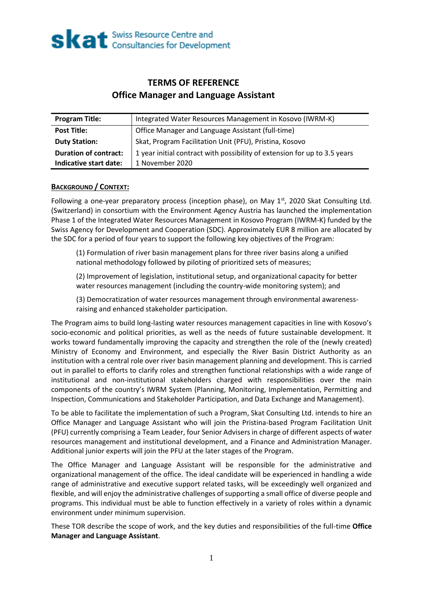## **TERMS OF REFERENCE Office Manager and Language Assistant**

| <b>Program Title:</b>        | Integrated Water Resources Management in Kosovo (IWRM-K)                  |
|------------------------------|---------------------------------------------------------------------------|
| <b>Post Title:</b>           | Office Manager and Language Assistant (full-time)                         |
| <b>Duty Station:</b>         | Skat, Program Facilitation Unit (PFU), Pristina, Kosovo                   |
| <b>Duration of contract:</b> | 1 year initial contract with possibility of extension for up to 3.5 years |
| Indicative start date:       | 1 November 2020                                                           |

### **BACKGROUND / CONTEXT:**

Following a one-year preparatory process (inception phase), on May  $1<sup>st</sup>$ , 2020 Skat Consulting Ltd. (Switzerland) in consortium with the Environment Agency Austria has launched the implementation Phase 1 of the Integrated Water Resources Management in Kosovo Program (IWRM-K) funded by the Swiss Agency for Development and Cooperation (SDC). Approximately EUR 8 million are allocated by the SDC for a period of four years to support the following key objectives of the Program:

(1) Formulation of river basin management plans for three river basins along a unified national methodology followed by piloting of prioritized sets of measures;

(2) Improvement of legislation, institutional setup, and organizational capacity for better water resources management (including the country-wide monitoring system); and

(3) Democratization of water resources management through environmental awarenessraising and enhanced stakeholder participation.

The Program aims to build long-lasting water resources management capacities in line with Kosovo's socio-economic and political priorities, as well as the needs of future sustainable development. It works toward fundamentally improving the capacity and strengthen the role of the (newly created) Ministry of Economy and Environment, and especially the River Basin District Authority as an institution with a central role over river basin management planning and development. This is carried out in parallel to efforts to clarify roles and strengthen functional relationships with a wide range of institutional and non-institutional stakeholders charged with responsibilities over the main components of the country's IWRM System (Planning, Monitoring, Implementation, Permitting and Inspection, Communications and Stakeholder Participation, and Data Exchange and Management).

To be able to facilitate the implementation of such a Program, Skat Consulting Ltd. intends to hire an Office Manager and Language Assistant who will join the Pristina-based Program Facilitation Unit (PFU) currently comprising a Team Leader, four Senior Advisers in charge of different aspects of water resources management and institutional development, and a Finance and Administration Manager. Additional junior experts will join the PFU at the later stages of the Program.

The Office Manager and Language Assistant will be responsible for the administrative and organizational management of the office. The ideal candidate will be experienced in handling a wide range of administrative and executive support related tasks, will be exceedingly well organized and flexible, and will enjoy the administrative challenges of supporting a small office of diverse people and programs. This individual must be able to function effectively in a variety of roles within a dynamic environment under minimum supervision.

These TOR describe the scope of work, and the key duties and responsibilities of the full-time **Office Manager and Language Assistant**.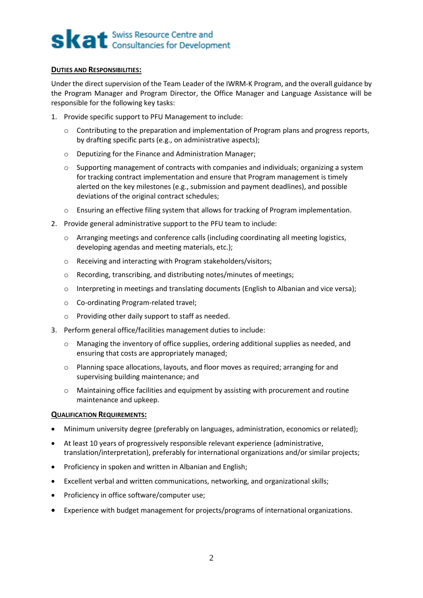# **Skat** Swiss Resource Centre and

#### **DUTIES AND RESPONSIBILITIES:**

Under the direct supervision of the Team Leader of the IWRM-K Program, and the overall guidance by the Program Manager and Program Director, the Office Manager and Language Assistance will be responsible for the following key tasks:

- 1. Provide specific support to PFU Management to include:
	- $\circ$  Contributing to the preparation and implementation of Program plans and progress reports, by drafting specific parts (e.g., on administrative aspects);
	- o Deputizing for the Finance and Administration Manager;
	- $\circ$  Supporting management of contracts with companies and individuals; organizing a system for tracking contract implementation and ensure that Program management is timely alerted on the key milestones (e.g., submission and payment deadlines), and possible deviations of the original contract schedules;
	- o Ensuring an effective filing system that allows for tracking of Program implementation.
- 2. Provide general administrative support to the PFU team to include:
	- o Arranging meetings and conference calls (including coordinating all meeting logistics, developing agendas and meeting materials, etc.);
	- o Receiving and interacting with Program stakeholders/visitors;
	- o Recording, transcribing, and distributing notes/minutes of meetings;
	- o Interpreting in meetings and translating documents (English to Albanian and vice versa);
	- o Co-ordinating Program-related travel;
	- o Providing other daily support to staff as needed.
- 3. Perform general office/facilities management duties to include:
	- $\circ$  Managing the inventory of office supplies, ordering additional supplies as needed, and ensuring that costs are appropriately managed;
	- o Planning space allocations, layouts, and floor moves as required; arranging for and supervising building maintenance; and
	- $\circ$  Maintaining office facilities and equipment by assisting with procurement and routine maintenance and upkeep.

#### **QUALIFICATION REQUIREMENTS:**

- Minimum university degree (preferably on languages, administration, economics or related);
- At least 10 years of progressively responsible relevant experience (administrative, translation/interpretation), preferably for international organizations and/or similar projects;
- Proficiency in spoken and written in Albanian and English;
- Excellent verbal and written communications, networking, and organizational skills;
- Proficiency in office software/computer use;
- Experience with budget management for projects/programs of international organizations.